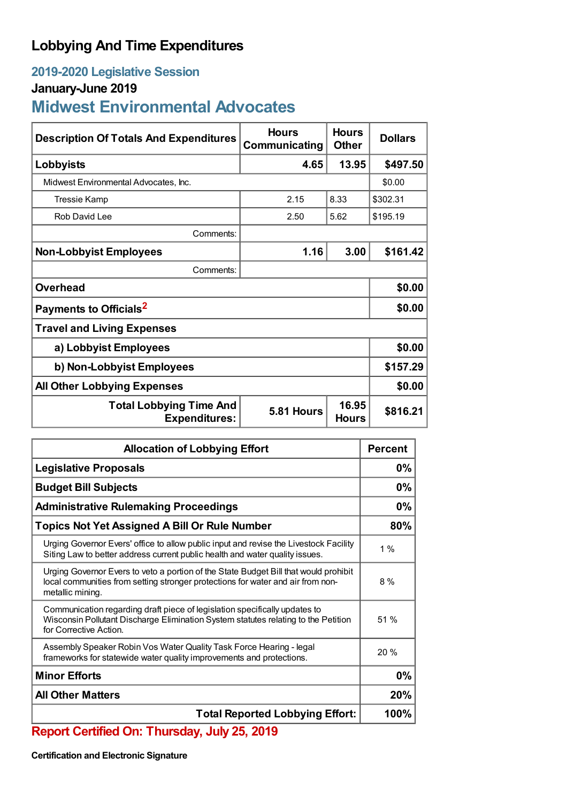## **Lobbying And Time Expenditures**

## **2019-2020 Legislative Session**

## **January-June 2019**

## **Midwest Environmental Advocates**

| <b>Description Of Totals And Expenditures</b>          | <b>Hours</b><br>Communicating | <b>Hours</b><br><b>Other</b> | <b>Dollars</b> |  |
|--------------------------------------------------------|-------------------------------|------------------------------|----------------|--|
| Lobbyists                                              | 4.65                          | 13.95                        | \$497.50       |  |
| Midwest Environmental Advocates, Inc.                  |                               |                              | \$0.00         |  |
| Tressie Kamp                                           | 2.15                          | 8.33                         | \$302.31       |  |
| Rob David Lee                                          | 2.50                          | 5.62                         | \$195.19       |  |
| Comments:                                              |                               |                              |                |  |
| <b>Non-Lobbyist Employees</b>                          | 1.16                          | 3.00                         | \$161.42       |  |
| Comments:                                              |                               |                              |                |  |
| <b>Overhead</b>                                        |                               |                              | \$0.00         |  |
| Payments to Officials <sup>2</sup>                     |                               |                              | \$0.00         |  |
| <b>Travel and Living Expenses</b>                      |                               |                              |                |  |
| a) Lobbyist Employees                                  |                               |                              | \$0.00         |  |
| b) Non-Lobbyist Employees                              |                               |                              | \$157.29       |  |
| <b>All Other Lobbying Expenses</b>                     |                               |                              | \$0.00         |  |
| <b>Total Lobbying Time And</b><br><b>Expenditures:</b> | 5.81 Hours                    | 16.95<br><b>Hours</b>        | \$816.21       |  |

| <b>Allocation of Lobbying Effort</b>                                                                                                                                                        |     |  |
|---------------------------------------------------------------------------------------------------------------------------------------------------------------------------------------------|-----|--|
| <b>Legislative Proposals</b>                                                                                                                                                                |     |  |
| <b>Budget Bill Subjects</b>                                                                                                                                                                 |     |  |
| <b>Administrative Rulemaking Proceedings</b>                                                                                                                                                |     |  |
| <b>Topics Not Yet Assigned A Bill Or Rule Number</b>                                                                                                                                        |     |  |
| Urging Governor Evers' office to allow public input and revise the Livestock Facility<br>Siting Law to better address current public health and water quality issues.                       |     |  |
| Urging Governor Evers to veto a portion of the State Budget Bill that would prohibit<br>local communities from setting stronger protections for water and air from non-<br>metallic mining. | 8%  |  |
| Communication regarding draft piece of legislation specifically updates to<br>Wisconsin Pollutant Discharge Elimination System statutes relating to the Petition<br>for Corrective Action.  | 51% |  |
| Assembly Speaker Robin Vos Water Quality Task Force Hearing - legal<br>frameworks for statewide water quality improvements and protections.                                                 | 20% |  |
| <b>Minor Efforts</b>                                                                                                                                                                        |     |  |
| <b>All Other Matters</b>                                                                                                                                                                    |     |  |
| <b>Total Reported Lobbying Effort:</b><br>-------                                                                                                                                           |     |  |

**Report Certified On: Thursday, July 25, 2019**